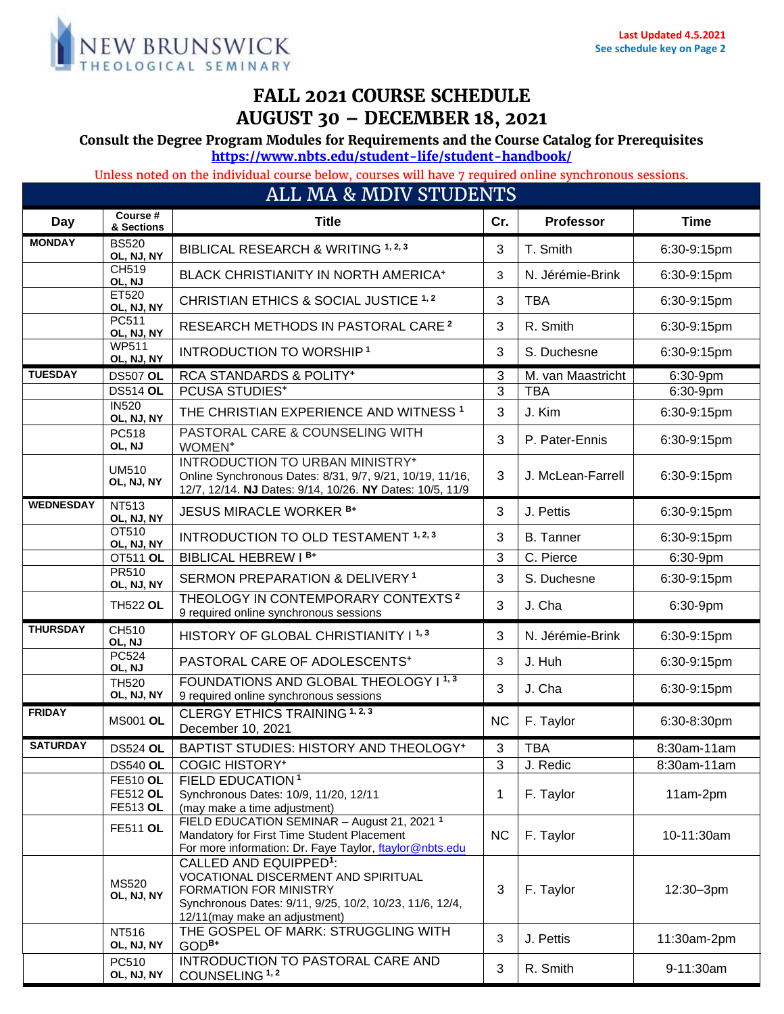

# **FALL 2021 COURSE SCHEDULE AUGUST 30 – DECEMBER 18, 2021**

**Consult the Degree Program Modules for Requirements and the Course Catalog for Prerequisites**

**<https://www.nbts.edu/student-life/student-handbook/>**

Unless noted on the individual course below, courses will have 7 required online synchronous sessions.

| ALL MA & MDIV STUDENTS |                                                |                                                                                                                                                                                                 |              |                   |             |  |  |  |  |
|------------------------|------------------------------------------------|-------------------------------------------------------------------------------------------------------------------------------------------------------------------------------------------------|--------------|-------------------|-------------|--|--|--|--|
| Day                    | Course #<br>& Sections                         | <b>Title</b>                                                                                                                                                                                    | Cr.          | <b>Professor</b>  | <b>Time</b> |  |  |  |  |
| <b>MONDAY</b>          | <b>BS520</b><br>OL, NJ, NY                     | BIBLICAL RESEARCH & WRITING 1, 2, 3                                                                                                                                                             | 3            | T. Smith          | 6:30-9:15pm |  |  |  |  |
|                        | CH519<br>OL, NJ                                | BLACK CHRISTIANITY IN NORTH AMERICA <sup>+</sup>                                                                                                                                                | 3            | N. Jérémie-Brink  | 6:30-9:15pm |  |  |  |  |
|                        | ET520<br>OL, NJ, NY                            | CHRISTIAN ETHICS & SOCIAL JUSTICE 1,2                                                                                                                                                           | 3            | <b>TBA</b>        | 6:30-9:15pm |  |  |  |  |
|                        | PC511<br>OL, NJ, NY                            | RESEARCH METHODS IN PASTORAL CARE <sup>2</sup>                                                                                                                                                  | 3            | R. Smith          | 6:30-9:15pm |  |  |  |  |
|                        | <b>WP511</b><br>OL, NJ, NY                     | INTRODUCTION TO WORSHIP <sup>1</sup>                                                                                                                                                            | 3            | S. Duchesne       | 6:30-9:15pm |  |  |  |  |
| <b>TUESDAY</b>         | <b>DS507 OL</b>                                | <b>RCA STANDARDS &amp; POLITY*</b>                                                                                                                                                              | 3            | M. van Maastricht | 6:30-9pm    |  |  |  |  |
|                        | <b>DS514 OL</b>                                | <b>PCUSA STUDIES*</b>                                                                                                                                                                           | 3            | <b>TBA</b>        | 6:30-9pm    |  |  |  |  |
|                        | <b>IN520</b><br>OL, NJ, NY                     | THE CHRISTIAN EXPERIENCE AND WITNESS <sup>1</sup>                                                                                                                                               | $\mathbf{3}$ | J. Kim            | 6:30-9:15pm |  |  |  |  |
|                        | PC518<br>OL, NJ                                | PASTORAL CARE & COUNSELING WITH<br>WOMEN <sup>+</sup>                                                                                                                                           | 3            | P. Pater-Ennis    | 6:30-9:15pm |  |  |  |  |
|                        | <b>UM510</b><br>OL, NJ, NY                     | INTRODUCTION TO URBAN MINISTRY <sup>+</sup><br>Online Synchronous Dates: 8/31, 9/7, 9/21, 10/19, 11/16,<br>12/7, 12/14. NJ Dates: 9/14, 10/26. NY Dates: 10/5, 11/9                             | 3            | J. McLean-Farrell | 6:30-9:15pm |  |  |  |  |
| <b>WEDNESDAY</b>       | NT513<br>OL, NJ, NY                            | <b>JESUS MIRACLE WORKER B+</b>                                                                                                                                                                  | 3            | J. Pettis         | 6:30-9:15pm |  |  |  |  |
|                        | OT510<br>OL, NJ, NY                            | INTRODUCTION TO OLD TESTAMENT 1, 2, 3                                                                                                                                                           | 3            | <b>B.</b> Tanner  | 6:30-9:15pm |  |  |  |  |
|                        | <b>OT511 OL</b>                                | BIBLICAL HEBREW I B+                                                                                                                                                                            | 3            | C. Pierce         | 6:30-9pm    |  |  |  |  |
|                        | <b>PR510</b><br>OL, NJ, NY                     | SERMON PREPARATION & DELIVERY <sup>1</sup>                                                                                                                                                      | 3            | S. Duchesne       | 6:30-9:15pm |  |  |  |  |
|                        | <b>TH522 OL</b>                                | THEOLOGY IN CONTEMPORARY CONTEXTS <sup>2</sup><br>9 required online synchronous sessions                                                                                                        | 3            | J. Cha            | 6:30-9pm    |  |  |  |  |
| <b>THURSDAY</b>        | CH510<br>OL, NJ                                | HISTORY OF GLOBAL CHRISTIANITY I <sup>1,3</sup>                                                                                                                                                 | 3            | N. Jérémie-Brink  | 6:30-9:15pm |  |  |  |  |
|                        | <b>PC524</b><br>OL, NJ                         | PASTORAL CARE OF ADOLESCENTS+                                                                                                                                                                   | 3            | J. Huh            | 6:30-9:15pm |  |  |  |  |
|                        | <b>TH520</b><br>OL, NJ, NY                     | FOUNDATIONS AND GLOBAL THEOLOGY I <sup>1,3</sup><br>9 required online synchronous sessions                                                                                                      | 3            | J. Cha            | 6:30-9:15pm |  |  |  |  |
| <b>FRIDAY</b>          | <b>MS001 OL</b>                                | CLERGY ETHICS TRAINING 1, 2, 3<br>December 10, 2021                                                                                                                                             | <b>NC</b>    | F. Taylor         | 6:30-8:30pm |  |  |  |  |
| <b>SATURDAY</b>        | <b>DS524 OL</b>                                | BAPTIST STUDIES: HISTORY AND THEOLOGY*                                                                                                                                                          | 3            | <b>TBA</b>        | 8:30am-11am |  |  |  |  |
|                        | <b>DS540 OL</b>                                | <b>COGIC HISTORY*</b>                                                                                                                                                                           | 3            | J. Redic          | 8:30am-11am |  |  |  |  |
|                        | <b>FE510 OL</b><br><b>FE512 OL</b><br>FE513 OL | FIELD EDUCATION <sup>1</sup><br>Synchronous Dates: 10/9, 11/20, 12/11<br>(may make a time adjustment)                                                                                           | 1            | F. Taylor         | 11am-2pm    |  |  |  |  |
|                        | <b>FE511 OL</b>                                | FIELD EDUCATION SEMINAR - August 21, 2021 <sup>1</sup><br>Mandatory for First Time Student Placement<br>For more information: Dr. Faye Taylor, flaylor@nbts.edu                                 | NC           | F. Taylor         | 10-11:30am  |  |  |  |  |
|                        | MS520<br>OL, NJ, NY                            | CALLED AND EQUIPPED <sup>1</sup> :<br>VOCATIONAL DISCERMENT AND SPIRITUAL<br>FORMATION FOR MINISTRY<br>Synchronous Dates: 9/11, 9/25, 10/2, 10/23, 11/6, 12/4,<br>12/11(may make an adjustment) | 3            | F. Taylor         | 12:30-3pm   |  |  |  |  |
|                        | NT516<br>OL, NJ, NY                            | THE GOSPEL OF MARK: STRUGGLING WITH<br>$GODB+$                                                                                                                                                  | 3            | J. Pettis         | 11:30am-2pm |  |  |  |  |
|                        | PC510<br>OL, NJ, NY                            | INTRODUCTION TO PASTORAL CARE AND<br>COUNSELING <sup>1,2</sup>                                                                                                                                  | 3            | R. Smith          | 9-11:30am   |  |  |  |  |